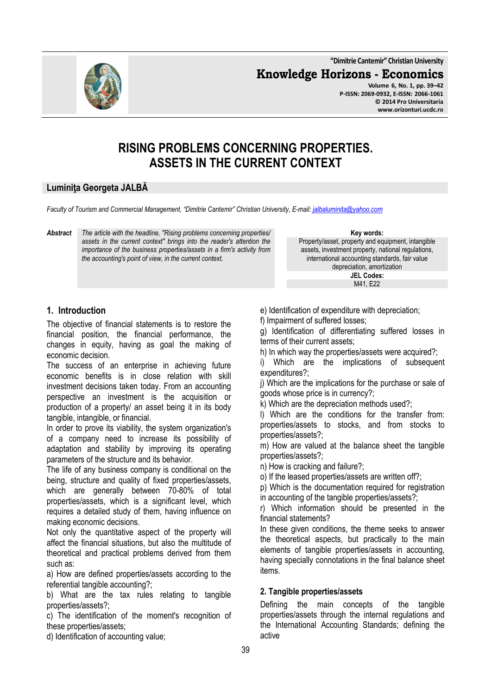**"Dimitrie Cantemir" Christian University**

**Knowledge Horizons - Economics**



**Volume 6, No. 1, pp. 39–42 P-ISSN: 2069-0932, E-ISSN: 2066-1061 © 2014 Pro Universitaria www.orizonturi.ucdc.ro**

# **RISING PROBLEMS CONCERNING PROPERTIES. ASSETS IN THE CURRENT CONTEXT**

#### **Luminiţa Georgeta JALBĂ**

*Faculty of Tourism and Commercial Management, "Dimitrie Cantemir" Christian University, E-mail: jalbaluminita@yahoo.com*

*Abstract The article with the headline, "Rising problems concerning properties/ assets in the current context" brings into the reader's attention the importance of the business properties/assets in a firm's activity from the accounting's point of view, in the current context.* 

**Key words:** Property/asset, property and equipment, intangible assets, investment property, national regulations, international accounting standards, fair value depreciation, amortization **JEL Codes:**

M41, E22

## **1. Introduction**

The objective of financial statements is to restore the financial position, the financial performance, the changes in equity, having as goal the making of economic decision.

The success of an enterprise in achieving future economic benefits is in close relation with skill investment decisions taken today. From an accounting perspective an investment is the acquisition or production of a property/ an asset being it in its body tangible, intangible, or financial.

In order to prove its viability, the system organization's of a company need to increase its possibility of adaptation and stability by improving its operating parameters of the structure and its behavior.

The life of any business company is conditional on the being, structure and quality of fixed properties/assets, which are generally between 70-80% of total properties/assets, which is a significant level, which requires a detailed study of them, having influence on making economic decisions.

Not only the quantitative aspect of the property will affect the financial situations, but also the multitude of theoretical and practical problems derived from them such as:

a) How are defined properties/assets according to the referential tangible accounting?;

b) What are the tax rules relating to tangible properties/assets?;

c) The identification of the moment's recognition of these properties/assets;

d) Identification of accounting value;

e) Identification of expenditure with depreciation;

f) Impairment of suffered losses;

g) Identification of differentiating suffered losses in terms of their current assets;

h) In which way the properties/assets were acquired?;

i) Which are the implications of subsequent expenditures?;

j) Which are the implications for the purchase or sale of goods whose price is in currency?;

k) Which are the depreciation methods used?;

l) Which are the conditions for the transfer from: properties/assets to stocks, and from stocks to properties/assets?;

m) How are valued at the balance sheet the tangible properties/assets?;

n) How is cracking and failure?;

o) If the leased properties/assets are written off?;

p) Which is the documentation required for registration in accounting of the tangible properties/assets?;

r) Which information should be presented in the financial statements?

In these given conditions, the theme seeks to answer the theoretical aspects, but practically to the main elements of tangible properties/assets in accounting, having specially connotations in the final balance sheet items.

#### **2. Tangible properties/assets**

Defining the main concepts of the tangible properties/assets through the internal regulations and the International Accounting Standards; defining the active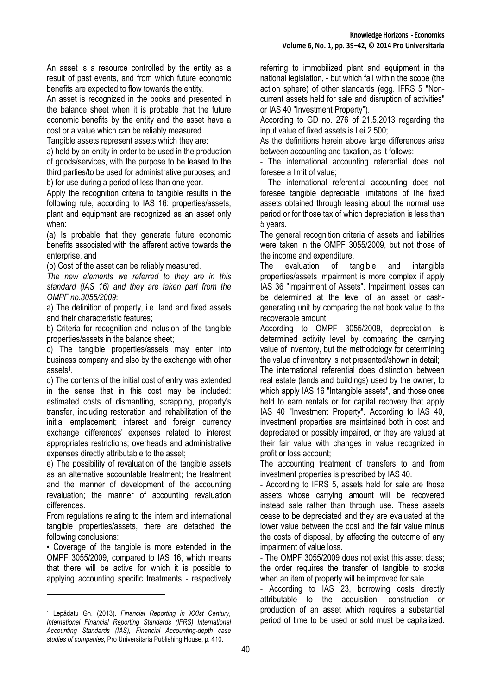An asset is a resource controlled by the entity as a result of past events, and from which future economic benefits are expected to flow towards the entity.

An asset is recognized in the books and presented in the balance sheet when it is probable that the future economic benefits by the entity and the asset have a cost or a value which can be reliably measured.

Tangible assets represent assets which they are:

a) held by an entity in order to be used in the production of goods/services, with the purpose to be leased to the third parties/to be used for administrative purposes; and b) for use during a period of less than one year.

Apply the recognition criteria to tangible results in the following rule, according to IAS 16: properties/assets, plant and equipment are recognized as an asset only when:

(a) Is probable that they generate future economic benefits associated with the afferent active towards the enterprise, and

(b) Cost of the asset can be reliably measured.

*The new elements we referred to they are in this standard (IAS 16) and they are taken part from the OMPF no.3055/2009*:

a) The definition of property, i.e. land and fixed assets and their characteristic features;

b) Criteria for recognition and inclusion of the tangible properties/assets in the balance sheet;

c) The tangible properties/assets may enter into business company and also by the exchange with other assets<sup>1</sup>.

d) The contents of the initial cost of entry was extended in the sense that in this cost may be included: estimated costs of dismantling, scrapping, property's transfer, including restoration and rehabilitation of the initial emplacement; interest and foreign currency exchange differences' expenses related to interest appropriates restrictions; overheads and administrative expenses directly attributable to the asset;

e) The possibility of revaluation of the tangible assets as an alternative accountable treatment; the treatment and the manner of development of the accounting revaluation; the manner of accounting revaluation differences.

From regulations relating to the intern and international tangible properties/assets, there are detached the following conclusions:

• Coverage of the tangible is more extended in the OMPF 3055/2009, compared to IAS 16, which means that there will be active for which it is possible to applying accounting specific treatments - respectively

l

referring to immobilized plant and equipment in the national legislation, - but which fall within the scope (the action sphere) of other standards (egg. IFRS 5 "Noncurrent assets held for sale and disruption of activities" or IAS 40 "Investment Property").

According to GD no. 276 of 21.5.2013 regarding the input value of fixed assets is Lei 2.500;

As the definitions herein above large differences arise between accounting and taxation, as it follows:

- The international accounting referential does not foresee a limit of value;

- The international referential accounting does not foresee tangible depreciable limitations of the fixed assets obtained through leasing about the normal use period or for those tax of which depreciation is less than 5 years.

The general recognition criteria of assets and liabilities were taken in the OMPF 3055/2009, but not those of the income and expenditure.

The evaluation of tangible and intangible properties/assets impairment is more complex if apply IAS 36 "Impairment of Assets". Impairment losses can be determined at the level of an asset or cashgenerating unit by comparing the net book value to the recoverable amount.

According to OMPF 3055/2009, depreciation is determined activity level by comparing the carrying value of inventory, but the methodology for determining the value of inventory is not presented/shown in detail;

The international referential does distinction between real estate (lands and buildings) used by the owner, to which apply IAS 16 "Intangible assets", and those ones held to earn rentals or for capital recovery that apply IAS 40 "Investment Property". According to IAS 40, investment properties are maintained both in cost and depreciated or possibly impaired, or they are valued at their fair value with changes in value recognized in profit or loss account;

The accounting treatment of transfers to and from investment properties is prescribed by IAS 40.

- According to IFRS 5, assets held for sale are those assets whose carrying amount will be recovered instead sale rather than through use. These assets cease to be depreciated and they are evaluated at the lower value between the cost and the fair value minus the costs of disposal, by affecting the outcome of any impairment of value loss.

- The OMPF 3055/2009 does not exist this asset class; the order requires the transfer of tangible to stocks when an item of property will be improved for sale.

- According to IAS 23, borrowing costs directly attributable to the acquisition, construction or production of an asset which requires a substantial period of time to be used or sold must be capitalized.

<sup>1</sup> Lepădatu Gh. (2013). *Financial Reporting in XXIst Century, International Financial Reporting Standards (IFRS) International Accounting Standards (IAS), Financial Accounting-depth case studies of companies,* Pro Universitaria Publishing House, p. 410.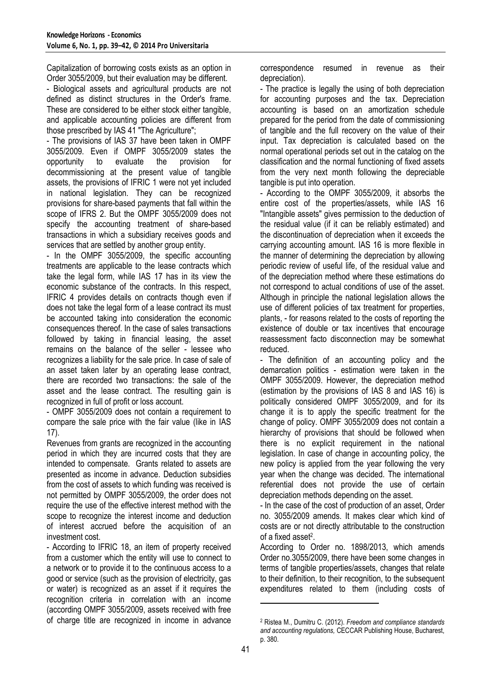Capitalization of borrowing costs exists as an option in Order 3055/2009, but their evaluation may be different.

- Biological assets and agricultural products are not defined as distinct structures in the Order's frame. These are considered to be either stock either tangible, and applicable accounting policies are different from those prescribed by IAS 41 "The Agriculture";

- The provisions of IAS 37 have been taken in OMPF 3055/2009. Even if OMPF 3055/2009 states the opportunity to evaluate the provision for decommissioning at the present value of tangible assets, the provisions of IFRIC 1 were not yet included in national legislation. They can be recognized provisions for share-based payments that fall within the scope of IFRS 2. But the OMPF 3055/2009 does not specify the accounting treatment of share-based transactions in which a subsidiary receives goods and services that are settled by another group entity.

- In the OMPF 3055/2009, the specific accounting treatments are applicable to the lease contracts which take the legal form, while IAS 17 has in its view the economic substance of the contracts. In this respect, IFRIC 4 provides details on contracts though even if does not take the legal form of a lease contract its must be accounted taking into consideration the economic consequences thereof. In the case of sales transactions followed by taking in financial leasing, the asset remains on the balance of the seller - lessee who recognizes a liability for the sale price. In case of sale of an asset taken later by an operating lease contract, there are recorded two transactions: the sale of the asset and the lease contract. The resulting gain is recognized in full of profit or loss account.

- OMPF 3055/2009 does not contain a requirement to compare the sale price with the fair value (like in IAS 17).

Revenues from grants are recognized in the accounting period in which they are incurred costs that they are intended to compensate. Grants related to assets are presented as income in advance. Deduction subsidies from the cost of assets to which funding was received is not permitted by OMPF 3055/2009, the order does not require the use of the effective interest method with the scope to recognize the interest income and deduction of interest accrued before the acquisition of an investment cost.

- According to IFRIC 18, an item of property received from a customer which the entity will use to connect to a network or to provide it to the continuous access to a good or service (such as the provision of electricity, gas or water) is recognized as an asset if it requires the recognition criteria in correlation with an income (according OMPF 3055/2009, assets received with free of charge title are recognized in income in advance

correspondence resumed in revenue as their depreciation).

- The practice is legally the using of both depreciation for accounting purposes and the tax. Depreciation accounting is based on an amortization schedule prepared for the period from the date of commissioning of tangible and the full recovery on the value of their input. Tax depreciation is calculated based on the normal operational periods set out in the catalog on the classification and the normal functioning of fixed assets from the very next month following the depreciable tangible is put into operation.

- According to the OMPF 3055/2009, it absorbs the entire cost of the properties/assets, while IAS 16 "Intangible assets" gives permission to the deduction of the residual value (if it can be reliably estimated) and the discontinuation of depreciation when it exceeds the carrying accounting amount. IAS 16 is more flexible in the manner of determining the depreciation by allowing periodic review of useful life, of the residual value and of the depreciation method where these estimations do not correspond to actual conditions of use of the asset. Although in principle the national legislation allows the use of different policies of tax treatment for properties, plants, - for reasons related to the costs of reporting the existence of double or tax incentives that encourage reassessment facto disconnection may be somewhat reduced.

- The definition of an accounting policy and the demarcation politics - estimation were taken in the OMPF 3055/2009. However, the depreciation method (estimation by the provisions of IAS 8 and IAS 16) is politically considered OMPF 3055/2009, and for its change it is to apply the specific treatment for the change of policy. OMPF 3055/2009 does not contain a hierarchy of provisions that should be followed when there is no explicit requirement in the national legislation. In case of change in accounting policy, the new policy is applied from the year following the very year when the change was decided. The international referential does not provide the use of certain depreciation methods depending on the asset.

- In the case of the cost of production of an asset, Order no. 3055/2009 amends. It makes clear which kind of costs are or not directly attributable to the construction of a fixed asset<sup>2</sup>.

According to Order no. 1898/2013, which amends Order no.3055/2009, there have been some changes in terms of tangible properties/assets, changes that relate to their definition, to their recognition, to the subsequent expenditures related to them (including costs of

 $\overline{a}$ 

<sup>2</sup> Ristea M., Dumitru C. (2012). *Freedom and compliance standards and accounting regulations,* CECCAR Publishing House, Bucharest, p. 380.